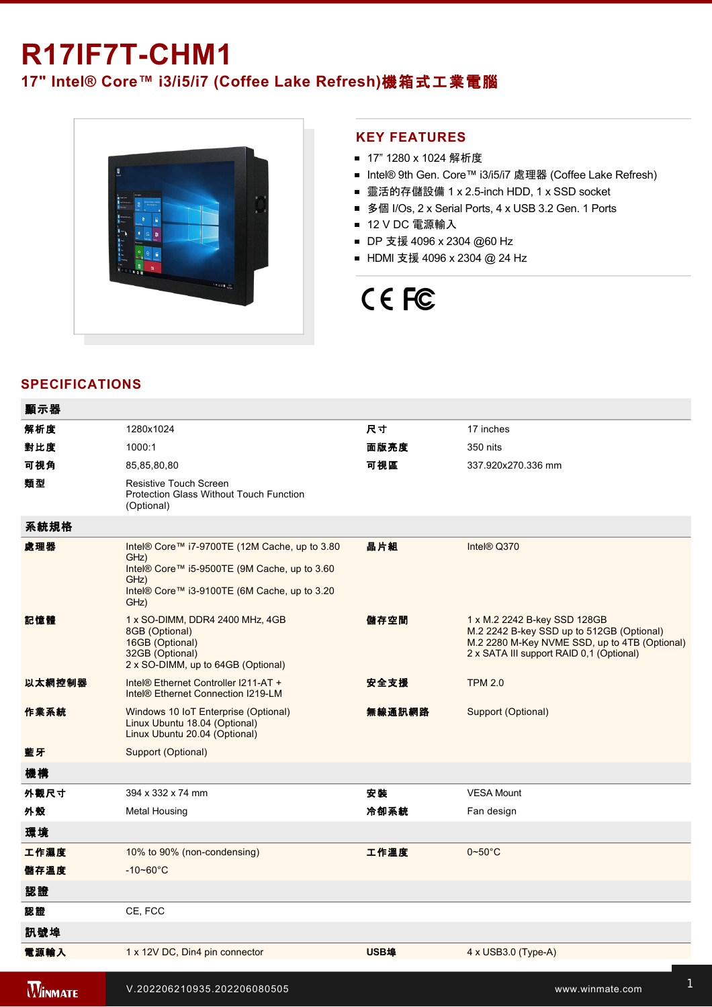# **R17IF7T-CHM1**

# **17" Intel® Core™ i3/i5/i7 (Coffee Lake Refresh)**機箱式工業電腦



## **KEY FEATURES**

- 17" 1280 x 1024 解析度
- Intel® 9th Gen. Core™ i3/i5/i7 處理器 (Coffee Lake Refresh)
- 靈活的存儲設備 1 x 2.5-inch HDD, 1 x SSD socket
- 多個 I/Os, 2 x Serial Ports, 4 x USB 3.2 Gen. 1 Ports
- 12 V DC 電源輸入
- DP 支援 4096 x 2304 @60 Hz
- HDMI 支援 4096 x 2304 @ 24 Hz

# CE FC

# **SPECIFICATIONS**

 $\overline{a}$ 

| 顯示器            |                                                                                                                                                                       |             |                                                                                                                                                                        |
|----------------|-----------------------------------------------------------------------------------------------------------------------------------------------------------------------|-------------|------------------------------------------------------------------------------------------------------------------------------------------------------------------------|
| 解析度            | 1280x1024                                                                                                                                                             | 尺寸          | 17 inches                                                                                                                                                              |
| 對比度            | 1000:1                                                                                                                                                                | 面版亮度        | 350 nits                                                                                                                                                               |
| 可視角            | 85,85,80,80                                                                                                                                                           | 可視區         | 337.920x270.336 mm                                                                                                                                                     |
| 類型             | Resistive Touch Screen<br>Protection Glass Without Touch Function<br>(Optional)                                                                                       |             |                                                                                                                                                                        |
| 系統規格           |                                                                                                                                                                       |             |                                                                                                                                                                        |
| 處理器            | Intel® Core™ i7-9700TE (12M Cache, up to 3.80<br>GHz)<br>Intel® Core™ i5-9500TE (9M Cache, up to 3.60<br>GHz)<br>Intel® Core™ i3-9100TE (6M Cache, up to 3.20<br>GHz) | 晶片組         | Intel® Q370                                                                                                                                                            |
| 記憶體            | 1 x SO-DIMM, DDR4 2400 MHz, 4GB<br>8GB (Optional)<br>16GB (Optional)<br>32GB (Optional)<br>2 x SO-DIMM, up to 64GB (Optional)                                         | 儲存空間        | 1 x M.2 2242 B-key SSD 128GB<br>M.2 2242 B-key SSD up to 512GB (Optional)<br>M.2 2280 M-Key NVME SSD, up to 4TB (Optional)<br>2 x SATA III support RAID 0,1 (Optional) |
| 以太網控制器         | Intel® Ethernet Controller I211-AT +<br>Intel <sup>®</sup> Ethernet Connection I219-LM                                                                                | 安全支援        | <b>TPM 2.0</b>                                                                                                                                                         |
| 作業系統           | Windows 10 IoT Enterprise (Optional)<br>Linux Ubuntu 18.04 (Optional)<br>Linux Ubuntu 20.04 (Optional)                                                                | 無線通訊網路      | Support (Optional)                                                                                                                                                     |
| 藍牙             | Support (Optional)                                                                                                                                                    |             |                                                                                                                                                                        |
| 機構             |                                                                                                                                                                       |             |                                                                                                                                                                        |
| 外觀尺寸           | 394 x 332 x 74 mm                                                                                                                                                     | 安装          | <b>VESA Mount</b>                                                                                                                                                      |
| 外殼             | <b>Metal Housing</b>                                                                                                                                                  | 冷卻系統        | Fan design                                                                                                                                                             |
| 環境             |                                                                                                                                                                       |             |                                                                                                                                                                        |
| 工作濕度           | 10% to 90% (non-condensing)                                                                                                                                           | 工作溫度        | $0 - 50$ °C                                                                                                                                                            |
| 儲存溫度           | $-10 - 60^{\circ}$ C                                                                                                                                                  |             |                                                                                                                                                                        |
| 認證             |                                                                                                                                                                       |             |                                                                                                                                                                        |
| 認證             | CE, FCC                                                                                                                                                               |             |                                                                                                                                                                        |
| 訊號埠            |                                                                                                                                                                       |             |                                                                                                                                                                        |
| 電源輸入           | 1 x 12V DC, Din4 pin connector                                                                                                                                        | <b>USB埠</b> | $4 \times$ USB3.0 (Type-A)                                                                                                                                             |
| <b>WINMATE</b> | V.202206210935.202206080505                                                                                                                                           |             | www.winmate.com                                                                                                                                                        |